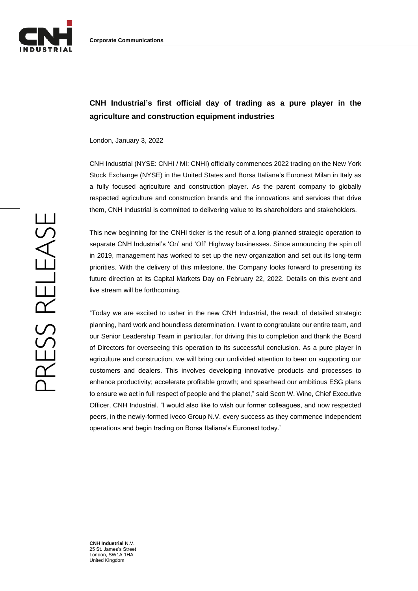

## **CNH Industrial's first official day of trading as a pure player in the agriculture and construction equipment industries**

London, January 3, 2022

CNH Industrial (NYSE: CNHI / MI: CNHI) officially commences 2022 trading on the New York Stock Exchange (NYSE) in the United States and Borsa Italiana's Euronext Milan in Italy as a fully focused agriculture and construction player. As the parent company to globally respected agriculture and construction brands and the innovations and services that drive them, CNH Industrial is committed to delivering value to its shareholders and stakeholders.

This new beginning for the CNHI ticker is the result of a long-planned strategic operation to separate CNH Industrial's 'On' and 'Off' Highway businesses. Since announcing the spin off in 2019, management has worked to set up the new organization and set out its long-term priorities. With the delivery of this milestone, the Company looks forward to presenting its future direction at its Capital Markets Day on February 22, 2022. Details on this event and live stream will be forthcoming.

"Today we are excited to usher in the new CNH Industrial, the result of detailed strategic planning, hard work and boundless determination. I want to congratulate our entire team, and our Senior Leadership Team in particular, for driving this to completion and thank the Board of Directors for overseeing this operation to its successful conclusion. As a pure player in agriculture and construction, we will bring our undivided attention to bear on supporting our customers and dealers. This involves developing innovative products and processes to enhance productivity; accelerate profitable growth; and spearhead our ambitious ESG plans to ensure we act in full respect of people and the planet," said Scott W. Wine, Chief Executive Officer, CNH Industrial. "I would also like to wish our former colleagues, and now respected peers, in the newly-formed Iveco Group N.V. every success as they commence independent operations and begin trading on Borsa Italiana's Euronext today."

**CNH Industrial** N.V. 25 St. James's Street London, SW1A 1HA United Kingdom